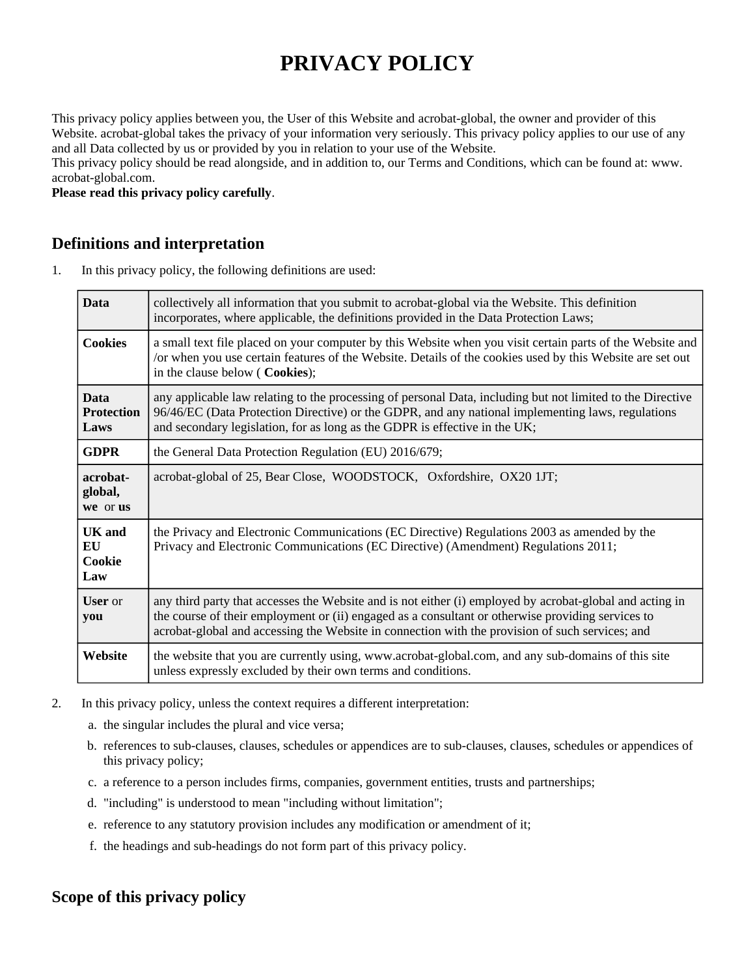# **PRIVACY POLICY**

This privacy policy applies between you, the User of this Website and acrobat-global, the owner and provider of this Website. acrobat-global takes the privacy of your information very seriously. This privacy policy applies to our use of any and all Data collected by us or provided by you in relation to your use of the Website.

This privacy policy should be read alongside, and in addition to, our Terms and Conditions, which can be found at: www. acrobat-global.com.

**Please read this privacy policy carefully**.

#### **Definitions and interpretation**

1. In this privacy policy, the following definitions are used:

| <b>Data</b>                              | collectively all information that you submit to acrobat-global via the Website. This definition<br>incorporates, where applicable, the definitions provided in the Data Protection Laws;                                                                                                                         |
|------------------------------------------|------------------------------------------------------------------------------------------------------------------------------------------------------------------------------------------------------------------------------------------------------------------------------------------------------------------|
| <b>Cookies</b>                           | a small text file placed on your computer by this Website when you visit certain parts of the Website and<br>/or when you use certain features of the Website. Details of the cookies used by this Website are set out<br>in the clause below (Cookies);                                                         |
| <b>Data</b><br><b>Protection</b><br>Laws | any applicable law relating to the processing of personal Data, including but not limited to the Directive<br>96/46/EC (Data Protection Directive) or the GDPR, and any national implementing laws, regulations<br>and secondary legislation, for as long as the GDPR is effective in the UK;                    |
| <b>GDPR</b>                              | the General Data Protection Regulation (EU) 2016/679;                                                                                                                                                                                                                                                            |
| acrobat-<br>global,<br>we or us          | acrobat-global of 25, Bear Close, WOODSTOCK, Oxfordshire, OX20 1JT;                                                                                                                                                                                                                                              |
| <b>UK</b> and<br>EU<br>Cookie<br>Law     | the Privacy and Electronic Communications (EC Directive) Regulations 2003 as amended by the<br>Privacy and Electronic Communications (EC Directive) (Amendment) Regulations 2011;                                                                                                                                |
| <b>User</b> or<br>you                    | any third party that accesses the Website and is not either (i) employed by acrobat-global and acting in<br>the course of their employment or (ii) engaged as a consultant or otherwise providing services to<br>acrobat-global and accessing the Website in connection with the provision of such services; and |
| Website                                  | the website that you are currently using, www.acrobat-global.com, and any sub-domains of this site<br>unless expressly excluded by their own terms and conditions.                                                                                                                                               |

- 2. In this privacy policy, unless the context requires a different interpretation:
	- a. the singular includes the plural and vice versa;
	- b. references to sub-clauses, clauses, schedules or appendices are to sub-clauses, clauses, schedules or appendices of this privacy policy;
	- c. a reference to a person includes firms, companies, government entities, trusts and partnerships;
	- d. "including" is understood to mean "including without limitation";
	- e. reference to any statutory provision includes any modification or amendment of it;
	- f. the headings and sub-headings do not form part of this privacy policy.

# **Scope of this privacy policy**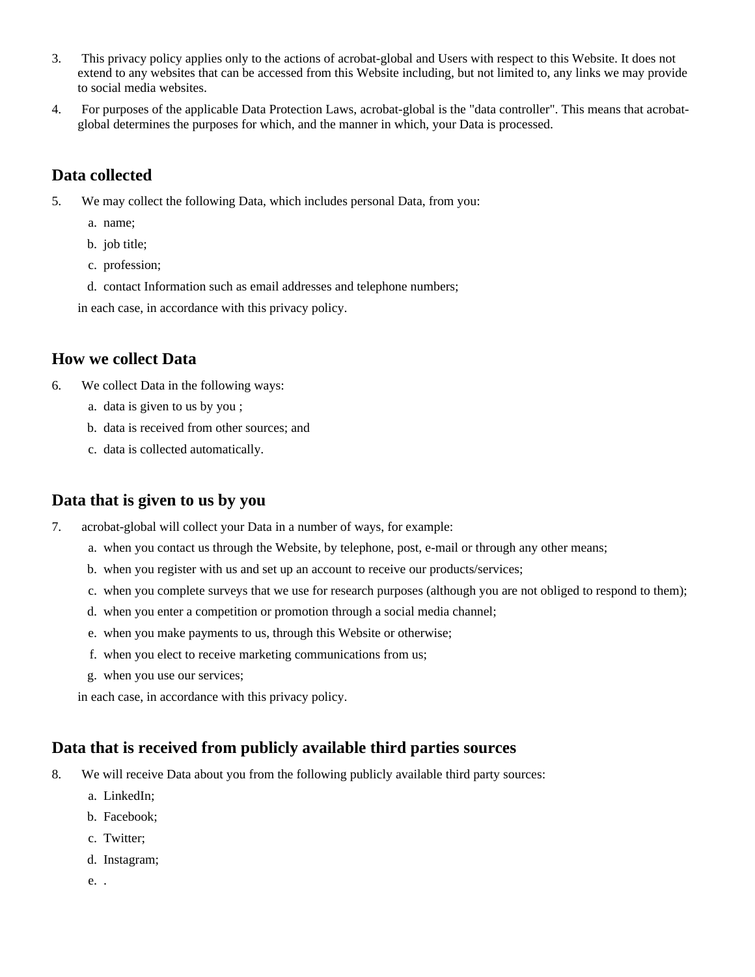- 3. This privacy policy applies only to the actions of acrobat-global and Users with respect to this Website. It does not extend to any websites that can be accessed from this Website including, but not limited to, any links we may provide to social media websites.
- 4. For purposes of the applicable Data Protection Laws, acrobat-global is the "data controller". This means that acrobatglobal determines the purposes for which, and the manner in which, your Data is processed.

### **Data collected**

- 5. We may collect the following Data, which includes personal Data, from you:
	- a. name;
	- b. job title;
	- c. profession;
	- d. contact Information such as email addresses and telephone numbers;

in each case, in accordance with this privacy policy.

#### **How we collect Data**

- 6. We collect Data in the following ways:
	- a. data is given to us by you ;
	- b. data is received from other sources; and
	- c. data is collected automatically.

#### **Data that is given to us by you**

- 7. acrobat-global will collect your Data in a number of ways, for example:
	- a. when you contact us through the Website, by telephone, post, e-mail or through any other means;
	- b. when you register with us and set up an account to receive our products/services;
	- c. when you complete surveys that we use for research purposes (although you are not obliged to respond to them);
	- d. when you enter a competition or promotion through a social media channel;
	- e. when you make payments to us, through this Website or otherwise;
	- f. when you elect to receive marketing communications from us;
	- g. when you use our services;

in each case, in accordance with this privacy policy.

# **Data that is received from publicly available third parties sources**

- 8. We will receive Data about you from the following publicly available third party sources:
	- a. LinkedIn;
	- b. Facebook;
	- c. Twitter;
	- d. Instagram;
	- e. .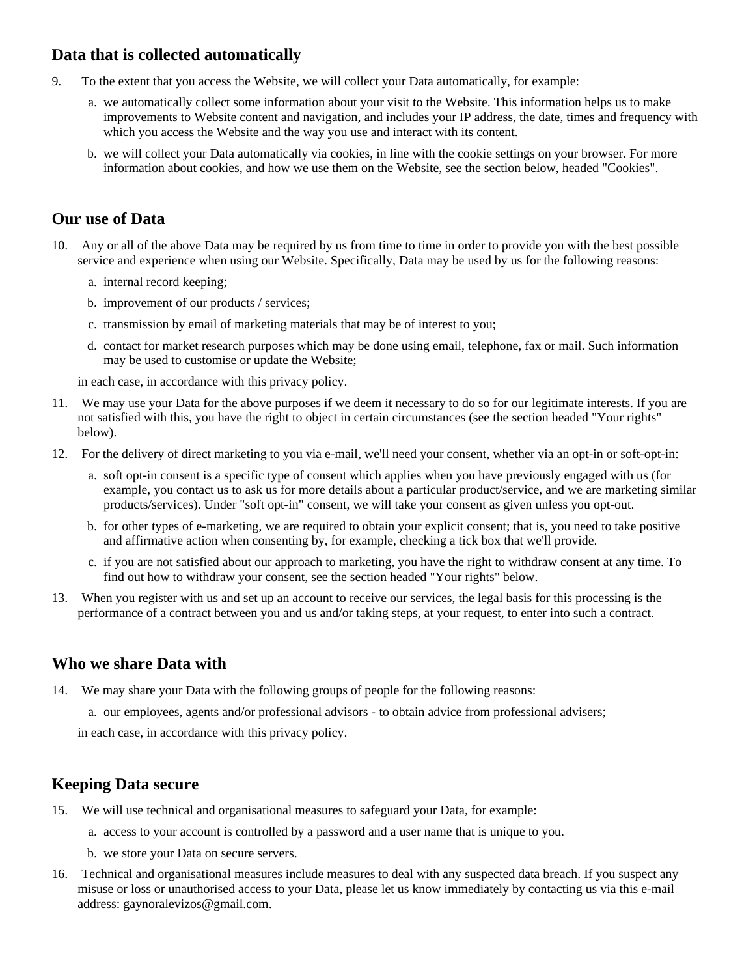# **Data that is collected automatically**

- 9. To the extent that you access the Website, we will collect your Data automatically, for example:
	- a. we automatically collect some information about your visit to the Website. This information helps us to make improvements to Website content and navigation, and includes your IP address, the date, times and frequency with which you access the Website and the way you use and interact with its content.
	- b. we will collect your Data automatically via cookies, in line with the cookie settings on your browser. For more information about cookies, and how we use them on the Website, see the section below, headed "Cookies".

# **Our use of Data**

- 10. Any or all of the above Data may be required by us from time to time in order to provide you with the best possible service and experience when using our Website. Specifically, Data may be used by us for the following reasons:
	- a. internal record keeping;
	- b. improvement of our products / services;
	- c. transmission by email of marketing materials that may be of interest to you;
	- d. contact for market research purposes which may be done using email, telephone, fax or mail. Such information may be used to customise or update the Website;

in each case, in accordance with this privacy policy.

- 11. We may use your Data for the above purposes if we deem it necessary to do so for our legitimate interests. If you are not satisfied with this, you have the right to object in certain circumstances (see the section headed "Your rights" below).
- 12. For the delivery of direct marketing to you via e-mail, we'll need your consent, whether via an opt-in or soft-opt-in:
	- a. soft opt-in consent is a specific type of consent which applies when you have previously engaged with us (for example, you contact us to ask us for more details about a particular product/service, and we are marketing similar products/services). Under "soft opt-in" consent, we will take your consent as given unless you opt-out.
	- b. for other types of e-marketing, we are required to obtain your explicit consent; that is, you need to take positive and affirmative action when consenting by, for example, checking a tick box that we'll provide.
	- c. if you are not satisfied about our approach to marketing, you have the right to withdraw consent at any time. To find out how to withdraw your consent, see the section headed "Your rights" below.
- 13. When you register with us and set up an account to receive our services, the legal basis for this processing is the performance of a contract between you and us and/or taking steps, at your request, to enter into such a contract.

#### **Who we share Data with**

- 14. We may share your Data with the following groups of people for the following reasons:
	- a. our employees, agents and/or professional advisors to obtain advice from professional advisers;

in each case, in accordance with this privacy policy.

#### **Keeping Data secure**

- 15. We will use technical and organisational measures to safeguard your Data, for example:
	- a. access to your account is controlled by a password and a user name that is unique to you.
	- b. we store your Data on secure servers.
- 16. Technical and organisational measures include measures to deal with any suspected data breach. If you suspect any misuse or loss or unauthorised access to your Data, please let us know immediately by contacting us via this e-mail address: gaynoralevizos@gmail.com.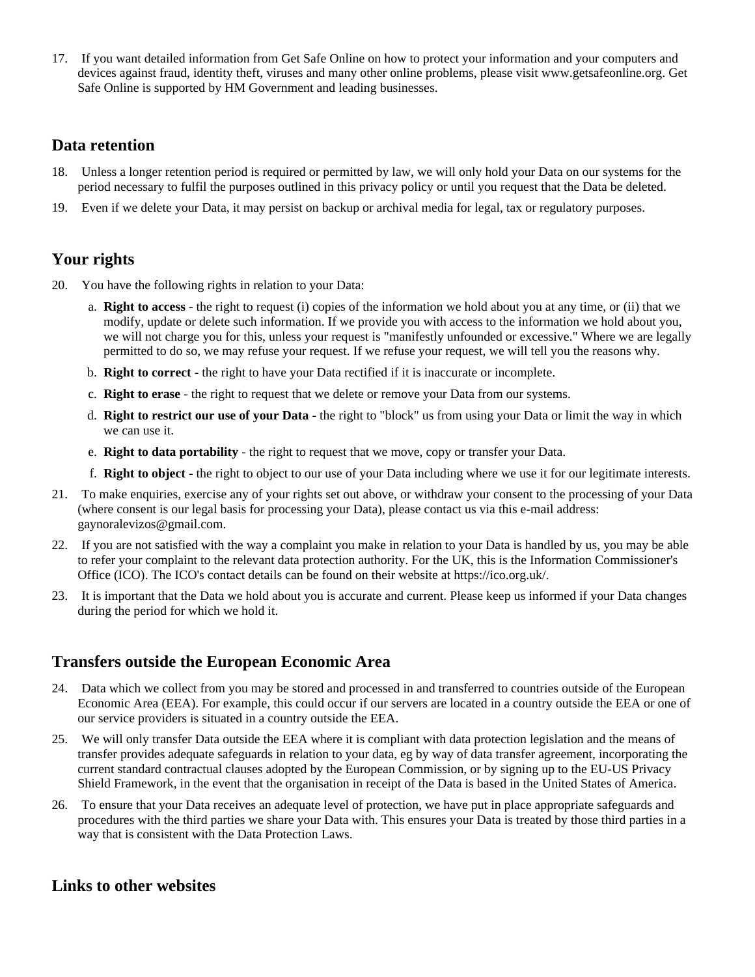17. If you want detailed information from Get Safe Online on how to protect your information and your computers and devices against fraud, identity theft, viruses and many other online problems, please visit www.getsafeonline.org. Get Safe Online is supported by HM Government and leading businesses.

#### **Data retention**

- 18. Unless a longer retention period is required or permitted by law, we will only hold your Data on our systems for the period necessary to fulfil the purposes outlined in this privacy policy or until you request that the Data be deleted.
- 19. Even if we delete your Data, it may persist on backup or archival media for legal, tax or regulatory purposes.

#### **Your rights**

- 20. You have the following rights in relation to your Data:
	- a. **Right to access** the right to request (i) copies of the information we hold about you at any time, or (ii) that we modify, update or delete such information. If we provide you with access to the information we hold about you, we will not charge you for this, unless your request is "manifestly unfounded or excessive." Where we are legally permitted to do so, we may refuse your request. If we refuse your request, we will tell you the reasons why.
	- b. **Right to correct** the right to have your Data rectified if it is inaccurate or incomplete.
	- c. **Right to erase** the right to request that we delete or remove your Data from our systems.
	- d. **Right to restrict our use of your Data** the right to "block" us from using your Data or limit the way in which we can use it.
	- e. **Right to data portability** the right to request that we move, copy or transfer your Data.
	- f. **Right to object** the right to object to our use of your Data including where we use it for our legitimate interests.
- 21. To make enquiries, exercise any of your rights set out above, or withdraw your consent to the processing of your Data (where consent is our legal basis for processing your Data), please contact us via this e-mail address: gaynoralevizos@gmail.com.
- 22. If you are not satisfied with the way a complaint you make in relation to your Data is handled by us, you may be able to refer your complaint to the relevant data protection authority. For the UK, this is the Information Commissioner's Office (ICO). The ICO's contact details can be found on their website at https://ico.org.uk/.
- 23. It is important that the Data we hold about you is accurate and current. Please keep us informed if your Data changes during the period for which we hold it.

#### **Transfers outside the European Economic Area**

- 24. Data which we collect from you may be stored and processed in and transferred to countries outside of the European Economic Area (EEA). For example, this could occur if our servers are located in a country outside the EEA or one of our service providers is situated in a country outside the EEA.
- 25. We will only transfer Data outside the EEA where it is compliant with data protection legislation and the means of transfer provides adequate safeguards in relation to your data, eg by way of data transfer agreement, incorporating the current standard contractual clauses adopted by the European Commission, or by signing up to the EU-US Privacy Shield Framework, in the event that the organisation in receipt of the Data is based in the United States of America.
- 26. To ensure that your Data receives an adequate level of protection, we have put in place appropriate safeguards and procedures with the third parties we share your Data with. This ensures your Data is treated by those third parties in a way that is consistent with the Data Protection Laws.

#### **Links to other websites**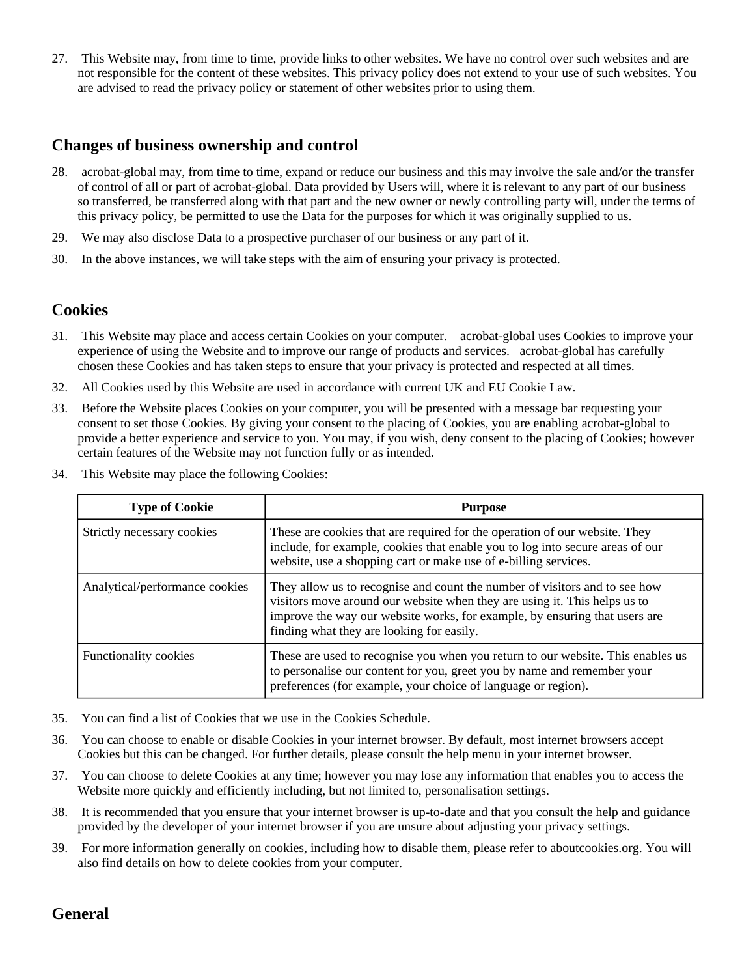27. This Website may, from time to time, provide links to other websites. We have no control over such websites and are not responsible for the content of these websites. This privacy policy does not extend to your use of such websites. You are advised to read the privacy policy or statement of other websites prior to using them.

#### **Changes of business ownership and control**

- 28. acrobat-global may, from time to time, expand or reduce our business and this may involve the sale and/or the transfer of control of all or part of acrobat-global. Data provided by Users will, where it is relevant to any part of our business so transferred, be transferred along with that part and the new owner or newly controlling party will, under the terms of this privacy policy, be permitted to use the Data for the purposes for which it was originally supplied to us.
- 29. We may also disclose Data to a prospective purchaser of our business or any part of it.
- 30. In the above instances, we will take steps with the aim of ensuring your privacy is protected.

#### **Cookies**

- 31. This Website may place and access certain Cookies on your computer. acrobat-global uses Cookies to improve your experience of using the Website and to improve our range of products and services. acrobat-global has carefully chosen these Cookies and has taken steps to ensure that your privacy is protected and respected at all times.
- 32. All Cookies used by this Website are used in accordance with current UK and EU Cookie Law.
- 33. Before the Website places Cookies on your computer, you will be presented with a message bar requesting your consent to set those Cookies. By giving your consent to the placing of Cookies, you are enabling acrobat-global to provide a better experience and service to you. You may, if you wish, deny consent to the placing of Cookies; however certain features of the Website may not function fully or as intended.
- 34. This Website may place the following Cookies:

| <b>Type of Cookie</b>          | <b>Purpose</b>                                                                                                                                                                                                                                                                     |
|--------------------------------|------------------------------------------------------------------------------------------------------------------------------------------------------------------------------------------------------------------------------------------------------------------------------------|
| Strictly necessary cookies     | These are cookies that are required for the operation of our website. They<br>include, for example, cookies that enable you to log into secure areas of our<br>website, use a shopping cart or make use of e-billing services.                                                     |
| Analytical/performance cookies | They allow us to recognise and count the number of visitors and to see how<br>visitors move around our website when they are using it. This helps us to<br>improve the way our website works, for example, by ensuring that users are<br>finding what they are looking for easily. |
| <b>Functionality cookies</b>   | These are used to recognise you when you return to our website. This enables us<br>to personalise our content for you, greet you by name and remember your<br>preferences (for example, your choice of language or region).                                                        |

- 35. You can find a list of Cookies that we use in the Cookies Schedule.
- 36. You can choose to enable or disable Cookies in your internet browser. By default, most internet browsers accept Cookies but this can be changed. For further details, please consult the help menu in your internet browser.
- 37. You can choose to delete Cookies at any time; however you may lose any information that enables you to access the Website more quickly and efficiently including, but not limited to, personalisation settings.
- 38. It is recommended that you ensure that your internet browser is up-to-date and that you consult the help and guidance provided by the developer of your internet browser if you are unsure about adjusting your privacy settings.
- 39. For more information generally on cookies, including how to disable them, please refer to aboutcookies.org. You will also find details on how to delete cookies from your computer.

#### **General**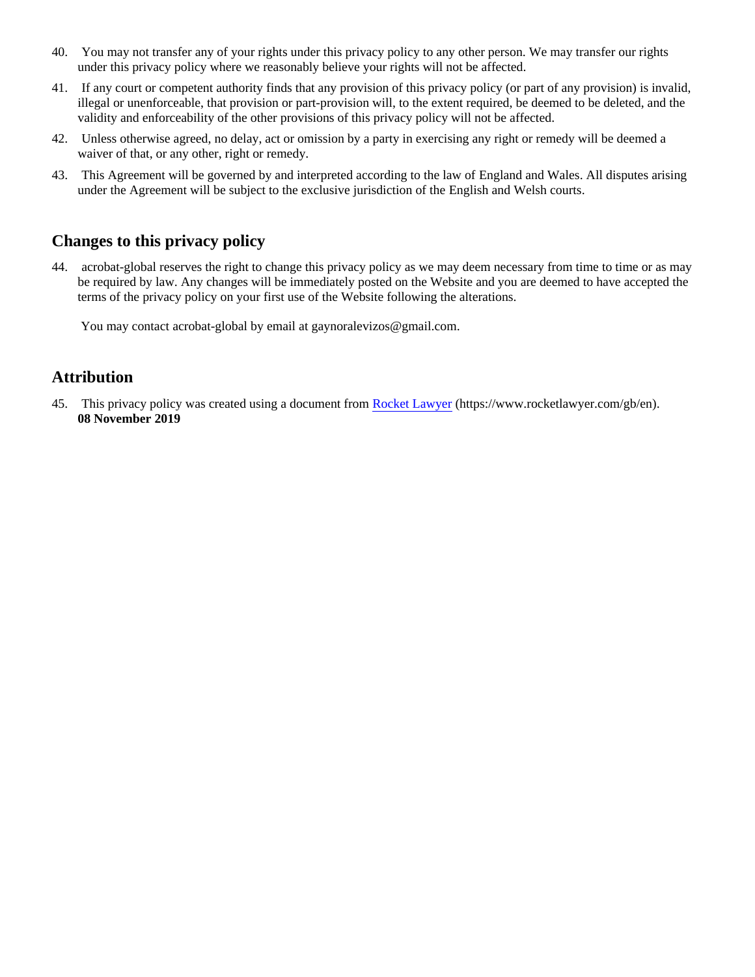- 40. You may not transfer any of your rights under this privacy policy to any other person. We may transfer our rights under this privacy policy where we reasonably believe your rights will not be affected.
- 41. If any court or competent authority finds that any provision of this privacy policy (or part of any provision) is invalid, illegal or unenforceable, that provision or part-provision will, to the extent required, be deemed to be deleted, and the validity and enforceability of the other provisions of this privacy policy will not be affected.
- 42. Unless otherwise agreed, no delay, act or omission by a party in exercising any right or remedy will be deemed a waiver of that, or any other, right or remedy.
- 43. This Agreement will be governed by and interpreted according to the law of England and Wales. All disputes arising under the Agreement will be subject to the exclusive jurisdiction of the English and Welsh courts.

# **Changes to this privacy policy**

44. acrobat-global reserves the right to change this privacy policy as we may deem necessary from time to time or as may be required by law. Any changes will be immediately posted on the Website and you are deemed to have accepted the terms of the privacy policy on your first use of the Website following the alterations.

You may contact acrobat-global by email at gaynoralevizos@gmail.com.

# **Attribution**

45. This privacy policy was created using a document from [Rocket Lawyer](https://www.rocketlawyer.com/gb/en/) (https://www.rocketlawyer.com/gb/en). **08 November 2019**